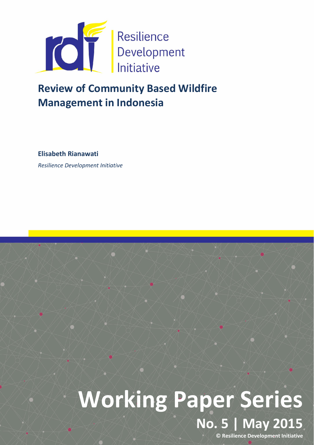

# Review of Community Based Wildfire Management in Indonesia

Elisabeth Rianawati

*Resilience Development Initiative*

# Working Paper Series No. 5 | May 2015

© Resilience Development Initiative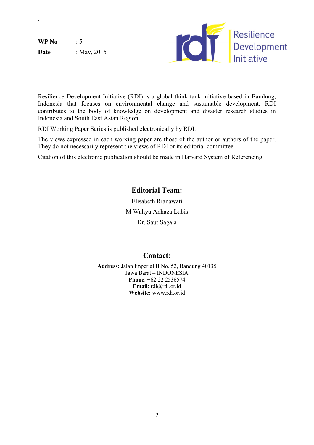$WP No$  : 5 **Date** : May, 2015

`



Resilience Development Initiative (RDI) is a global think tank initiative based in Bandung, Indonesia that focuses on environmental change and sustainable development. RDI contributes to the body of knowledge on development and disaster research studies in Indonesia and South East Asian Region.

RDI Working Paper Series is published electronically by RDI.

The views expressed in each working paper are those of the author or authors of the paper. They do not necessarily represent the views of RDI or its editorial committee.

Citation of this electronic publication should be made in Harvard System of Referencing.

# Editorial Team:

Elisabeth Rianawati M Wahyu Anhaza Lubis Dr. Saut Sagala

## Contact:

Address: Jalan Imperial II No. 52, Bandung 40135 Jawa Barat – INDONESIA Phone: +62 22 2536574 Email: rdi@rdi.or.id Website: www.rdi.or.id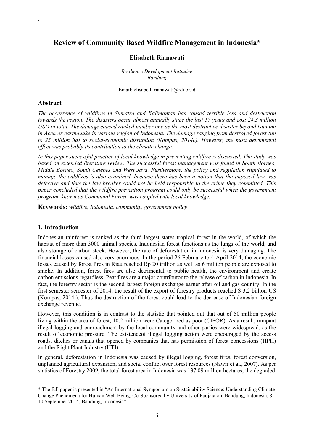### Review of Community Based Wildfire Management in Indonesia\*

#### Elisabeth Rianawati

*Resilience Development Initiative Bandung*

Email: elisabeth.rianawati@rdi.or.id

#### Abstract

`

*The occurrence of wildfires in Sumatra and Kalimantan has caused terrible loss and destruction towards the region. The disasters occur almost annually since the last 17 years and cost 24.3 million USD in total. The damage caused ranked number one as the most destructive disaster beyond tsunami in Aceh or earthquake in various region of Indonesia. The damage ranging from destroyed forest (up to 25 million ha) to social-economic disruption (Kompas, 2014c). However, the most detrimental effect was probably its contribution to the climate change.* 

*In this paper successful practice of local knowledge in preventing wildfire is discussed. The study was based on extended literature review. The successful forest management was found in South Borneo, Middle Borneo, South Celebes and West Java. Furthermore, the policy and regulation stipulated to manage the wildfires is also examined, because there has been a notion that the imposed law was defective and thus the law breaker could not be held responsible to the crime they committed. This paper concluded that the wildfire prevention program could only be successful when the government program, known as Communal Forest, was coupled with local knowledge.*

Keywords: *wildfire, Indonesia, community, government policy* 

#### 1. Introduction

 $\overline{\phantom{a}}$  , and the set of the set of the set of the set of the set of the set of the set of the set of the set of the set of the set of the set of the set of the set of the set of the set of the set of the set of the s

Indonesian rainforest is ranked as the third largest states tropical forest in the world, of which the habitat of more than 3000 animal species. Indonesian forest functions as the lungs of the world, and also storage of carbon stock. However, the rate of deforestation in Indonesia is very damaging. The financial losses caused also very enormous. In the period 26 February to 4 April 2014, the economic losses caused by forest fires in Riau reached Rp 20 trillion as well as 6 million people are exposed to smoke. In addition, forest fires are also detrimental to public health, the environment and create carbon emissions regardless. Peat fires are a major contributor to the release of carbon in Indonesia. In fact, the forestry sector is the second largest foreign exchange earner after oil and gas country. In the first semester semester of 2014, the result of the export of forestry products reached \$ 3.2 billion US (Kompas, 2014i). Thus the destruction of the forest could lead to the decrease of Indonesian foreign exchange revenue.

However, this condition is in contrast to the statistic that pointed out that out of 50 million people living within the area of forest, 10.2 million were Categorized as poor (CIFOR). As a result, rampant illegal logging and encroachment by the local community and other parties were widespread, as the result of economic pressure. The existenceof illegal logging action were encouraged by the access roads, ditches or canals that opened by companies that has permission of forest concessions (HPH) and the Right Plant Industry (HTI).

In general, deforestation in Indonesia was caused by illegal logging, forest fires, forest conversion, unplanned agricultural expansion, and social conflict over forest resources (Nawir et al., 2007). As per statistics of Forestry 2009, the total forest area in Indonesia was 137.09 million hectares; the degraded

<sup>\*</sup> The full paper is presented in "An International Symposium on Sustainability Science: Understanding Climate Change Phenomena for Human Well Being, Co-Sponsored by University of Padjajaran, Bandung, Indonesia, 8- 10 September 2014, Bandung, Indonesia"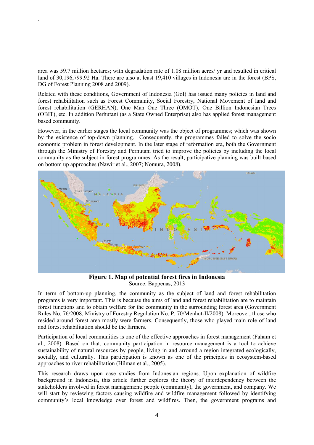area was 59.7 million hectares; with degradation rate of 1.08 million acres/ yr and resulted in critical land of 30,196,799.92 Ha. There are also at least 19,410 villages in Indonesia are in the forest (BPS, DG of Forest Planning 2008 and 2009).

`

Related with these conditions, Government of Indonesia (GoI) has issued many policies in land and forest rehabilitation such as Forest Community, Social Forestry, National Movement of land and forest rehabilitation (GERHAN), One Man One Three (OMOT), One Billion Indonesian Trees (OBIT), etc. In addition Perhutani (as a State Owned Enterprise) also has applied forest management based community.

However, in the earlier stages the local community was the object of programmes; which was shown by the existence of top-down planning. Consequently, the programmes failed to solve the socio economic problem in forest development. In the later stage of reformation era, both the Government through the Ministry of Forestry and Perhutani tried to improve the policies by including the local community as the subject in forest programmes. As the result, participative planning was built based on bottom up approaches (Nawir et al., 2007; Nomura, 2008).



Figure 1. Map of potential forest fires in Indonesia Source: Bappenas, 2013

In term of bottom-up planning, the community as the subject of land and forest rehabilitation programs is very important. This is because the aims of land and forest rehabilitation are to maintain forest functions and to obtain welfare for the community in the surrounding forest area (Government Rules No. 76/2008, Ministry of Forestry Regulation No. P. 70/Menhut-II/2008). Moreover, those who resided around forest area mostly were farmers. Consequently, those who played main role of land and forest rehabilitation should be the farmers.

Participation of local communities is one of the effective approaches in forest management (Faham et al., 2008). Based on that, community participation in resource management is a tool to achieve sustainability of natural resources by people, living in and arround a region integrated ecologically, socially, and culturally. This participation is known as one of the principles in ecosystem-based approaches to river rehabilitation (Hilman et al., 2005).

This research draws upon case studies from Indonesian regions. Upon explanation of wildfire background in Indonesia, this article further explores the theory of interdependency between the stakeholders involved in forest management: people (community), the government, and company. We will start by reviewing factors causing wildfire and wildfire management followed by identifying community's local knowledge over forest and wildfires. Then, the government programs and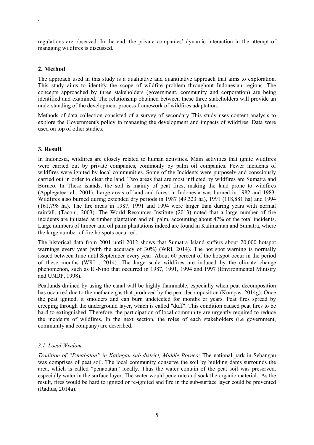regulations are observed. In the end, the private companies' dynamic interaction in the attempt of managing wildfires is discussed.

#### 2. Method

`

The approach used in this study is a qualitative and quantitative approach that aims to exploration. This study aims to identify the scope of wildfire problem throughout Indonesian regions. The concepts approached by three stakeholders (government, community and corporation) are being identified and examined. The relationship obtained between these three stakeholders will provide an understanding of the development process framework of wildfires adaptation.

Methods of data collection consisted of a survey of secondary This study uses content analysis to explore the Government's policy in managing the development and impacts of wildfires. Data were used on top of other studies.

#### 3. Result

In Indonesia, wildfires are closely related to human activities. Main activities that ignite wildfires were carried out by private companies, commonly by palm oil companies. Fewer incidents of wildfires were ignited by local communities. Some of the Incidents were purposely and consciously carried out in order to clear the land. Two areas that are most inflicted by wildfires are Sumatra and Borneo. In These islands, the soil is mainly of peat fires, making the land prone to wildfires (Applegateet al., 2001). Large areas of land and forest in Indonesia was burned in 1982 and 1983. Wildfires also burned during extended dry periods in 1987 (49,323 ha), 1991 (118,881 ha) and 1994 (161,798 ha). The fire areas in 1987, 1991 and 1994 were larger than during years with normal rainfall, (Taconi, 2003). The World Resources Institute (2013) noted that a large number of fire incidents are initiated at timber plantation and oil palm, accounting about 47% of the total incidents. Large numbers of timber and oil palm plantations indeed are found in Kalimantan and Sumatra, where the large number of fire hotspots occurred.

The historical data from 2001 until 2012 shows that Sumatra Island suffers about 20,000 hotspot warnings every year (with the accuracy of 30%) (WRI, 2014). The hot spot warning is normally issued between June until September every year. About 60 percent of the hotspot occur in the period of these months (WRI , 2014). The large scale wildfires are induced by the climate change phenomenon, such as El-Nino that occurred in 1987, 1991, 1994 and 1997 (Environmental Ministry and UNDP, 1998).

Peatlands drained by using the canal will be highly flammable, especially when peat decomposition has occurred due to the methane gas that produced by the peat decomposition (Kompas, 2014g). Once the peat ignited, it smolders and can burn undetected for months or years. Peat fires spread by creeping through the underground layer, which is called "duff". This condition caused peat fires to be hard to extinguished. Therefore, the participation of local community are urgently required to reduce the incidents of wildfires. In the next section, the roles of each stakeholders (i.e government, community and company) are described.

#### *3.1. Local Wisdom*

*Tradition of "Penabatan" in Katingan sub-district, Middle Borneo:* The national park in Sebangau was comprises of peat soil. The local community conserve the soil by building dams surrounds the area, which is called "penabatan" locally. Thus the water contain of the peat soil was preserved, especially water in the surface layer. The water would penetrate and soak the organic material. As the result, fires would be hard to ignited or re-ignited and fire in the sub-surface layer could be prevented (Radius, 2014a).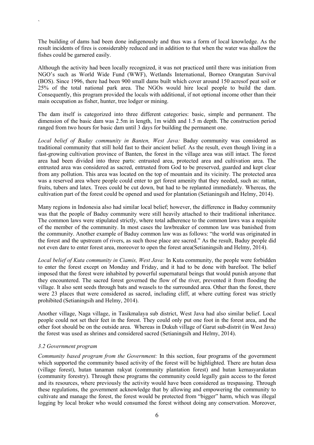The building of dams had been done indigenously and thus was a form of local knowledge. As the result incidents of fires is considerably reduced and in addition to that when the water was shallow the fishes could be garnered easily.

Although the activity had been locally recognized, it was not practiced until there was initiation from NGO's such as World Wide Fund (WWF), Wetlands International, Borneo Orangutan Survival (BOS). Since 1996, there had been 900 small dams built which cover around 150 acresof peat soil or 25% of the total national park area. The NGOs would hire local people to build the dam. Consequently, this program provided the locals with additional, if not optional income other than their main occupation as fisher, hunter, tree lodger or mining.

The dam itself is categorized into three different categories: basic, simple and permanent. The dimension of the basic dam was 2.5m in length, 1m width and 1.5 m depth. The construction period ranged from two hours for basic dam until 3 days for building the permanent one.

*Local belief of Baduy community in Banten, West Java:* Baduy community was considered as traditional community that still hold fast to their ancient belief. As the result, even though living in a fast-growing cultivation province of Banten, the forest in the village area was still intact. The forest area had been divided into three parts: entrusted area, protected area and cultivation area. The entrusted area was considered as sacred, entrusted from God to be preserved, guarded and kept clear from any pollution. This area was located on the top of mountain and its vicinity. The protected area was a reserved area where people could enter to get forest amenity that they needed, such as: rattan, fruits, tubers and latex. Trees could be cut down, but had to be replanted immediately. Whereas, the cultivation part of the forest could be opened and used for plantation (Setianingsih and Helmy, 2014).

Many regions in Indonesia also had similar local belief; however, the difference in Baduy community was that the people of Baduy community were still heavily attached to their traditional inheritance. The common laws were stipulated strictly, where total adherence to the common laws was a requisite of the member of the community. In most cases the lawbreaker of common law was banished from the community. Another example of Baduy common law was as follows: "the world was originated in the forest and the upstream of rivers, as such those place are sacred." As the result, Baduy people did not even dare to enter forest area, moreover to open the forest area(Setianingsih and Helmy, 2014).

*Local belief of Kuta community in Ciamis, West Java:* In Kuta community, the people were forbidden to enter the forest except on Monday and Friday, and it had to be done with barefoot. The belief imposed that the forest were inhabited by powerful supernatural beings that would punish anyone that they encountered. The sacred forest governed the flow of the river, prevented it from flooding the village. It also sent seeds through bats and weasels to the surrounded area. Other than the forest, there were 23 places that were considered as sacred, including cliff, at where cutting forest was strictly prohibited (Setianingsih and Helmy, 2014).

Another village, Naga village, in Tasikmalaya sub district, West Java had also similar belief. Local people could not set their feet in the forest. They could only put one foot in the forest area, and the other foot should be on the outside area. Whereas in Dukuh village of Garut sub-distrit (in West Java) the forest was used as shrines and considered sacred (Setianingsih and Helmy, 2014).

#### *3.2 Government program*

`

*Community based program from the Government:* In this section, four programs of the government which supported the community based activity of the forest will be highlighted. There are hutan desa (village forest), hutan tanaman rakyat (community plantation forest) and hutan kemasyarakatan (community forestry). Through these programs the community could legally gain access to the forest and its resources, where previously the activity would have been considered as trespassing. Through these regulations, the government acknowledge that by allowing and empowering the community to cultivate and manage the forest, the forest would be protected from "bigger" harm, which was illegal logging by local broker who would consumed the forest without doing any conservation. Moreover,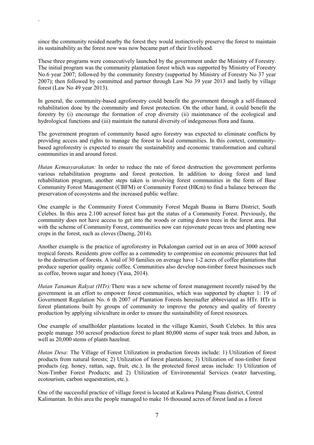since the community resided nearby the forest they would instinctively preserve the forest to maintain its sustainability as the forest now was now became part of their livelihood.

`

These three programs were consecutively launched by the government under the Ministry of Forestry. The initial program was the community plantation forest which was supported by Ministry of Forestry No.6 year 2007; followed by the community forestry (supported by Ministry of Forestry No 37 year 2007); then followed by committed and partner through Law No 39 year 2013 and lastly by village forest (Law No 49 year 2013).

In general, the community-based agroforestry could benefit the government through a self-financed rehabilitation done by the community and forest protection. On the other hand, it could benefit the forestry by (i) encourage the formation of crop diversity (ii) maintenance of the ecological and hydrological functions and (iii) maintain the natural diversity of indegeneous flora and fauna.

The government program of community based agro forestry was expected to eliminate conflicts by providing access and rights to manage the forest to local communities. In this context, communitybased agroforestry is expected to ensure the sustainability and economic transformation and cultural communities in and around forest.

*Hutan Kemasyarakatan:* In order to reduce the rate of forest destruction the government performs various rehabilitation programs and forest protection. In addition to doing forest and land rehabilitation program, another steps taken is involving forest communities in the form of Base Community Forest Management (CBFM) or Community Forest (HKm) to find a balance between the preservation of ecosystems and the increased public welfare.

One example is the Community Forest Community Forest Megah Buana in Barru District, South Celebes. In this area 2.100 acresof forest has got the status of a Community Forest. Previously, the community does not have access to get into the woods or cutting down trees in the forest area. But with the scheme of Community Forest, communities now can rejuvenate pecan trees and planting new crops in the forest, such as cloves (Daeng, 2014).

Another example is the practice of agroforestry in Pekalongan carried out in an area of 3000 acresof tropical forests. Residents grow coffee as a commodity to compromise on economic pressures that led to the destruction of forests. A total of 30 families on average have 1-2 acres of coffee plantations that produce superior quality organic coffee. Communities also develop non-timber forest businesses such as coffee, brown sugar and honey (Yasa, 2014).

*Hutan Tanaman Rakyat (HTr):*There was a new scheme of forest management recently raised by the government in an effort to empower forest communities, which was supported by chapter 1: 19 of Government Regulation No. 6 th 2007 of Plantation Forests hereinafter abbreviated as HTr. HTr is forest plantations built by groups of community to improve the potency and quality of forestry production by applying silviculture in order to ensure the sustainability of forest resources.

One example of smallholder plantations located in the village Kamiri, South Celebes. In this area people manage 350 acresof production forest to plant 80,000 stems of super teak trees and Jabon, as well as 20,000 stems of plants hazelnut.

*Hutan Desa:* The Village of Forest Utilization in production forests include: 1) Utilization of forest products from natural forests; 2) Utilization of forest plantations; 3) Utilization of non-timber forest products (eg. honey, rattan, sap, fruit, etc.). In the protected forest areas include: 1) Utilization of Non-Timber Forest Products; and 2) Utilization of Environmental Services (water harvesting, ecotourism, carbon sequestration, etc.).

One of the successful practice of village forest is located at Kalawa Pulang Pisau district, Central Kalimantan. In this area the people managed to make 16 thousand acres of forest land as a forest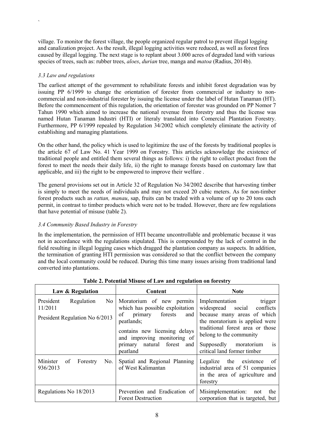village. To monitor the forest village, the people organized regular patrol to prevent illegal logging and canalization project. As the result, illegal logging activities were reduced, as well as forest fires caused by illegal logging. The next stage is to replant about 3.000 acres of degraded land with various species of trees, such as: rubber trees, *aloes*, *durian* tree, manga and *matoa* (Radius, 2014b).

#### *3.3 Law and regulations*

`

The earliest attempt of the government to rehabilitate forests and inhibit forest degradation was by issuing PP 6/1999 to change the orientation of forester from commercial or industry to noncommercial and non-industrial forester by issuing the license under the label of Hutan Tanaman (HT). Before the commencement of this regulation, the orientation of forester was grounded on PP Nomor 7 Tahun 1990 which aimed to increase the national revenue from forestry and thus the license was named Hutan Tanaman Industri (HTI) or literaly translated into Comercial Plantation Forestry. Furthermore, PP 6/1999 repealed by Regulation 34/2002 which completely eliminate the activity of establishing and managing plantations.

On the other hand, the policy which is used to legitimize the use of the forests by traditional peoples is the article 67 of Law No. 41 Year 1999 on Forestry. This articles acknowledge the existence of traditional people and entitled them several things as follows: i) the right to collect product from the forest to meet the needs their daily life, ii) the right to manage forests based on customary law that applicable, and iii) the right to be empowered to improve their welfare .

The general provisions set out in Article 32 of Regulation No 34/2002 describe that harvesting timber is simply to meet the needs of individuals and may not exceed 20 cubic meters. As for non-timber forest products such as *rattan, manau*, sap, fruits can be traded with a volume of up to 20 tons each permit, in contrast to timber products which were not to be traded. However, there are few regulations that have potential of misuse (table 2).

#### *3.4 Community Based Industry in Forestry*

In the implementation, the permission of HTI became uncontrollable and problematic because it was not in accordance with the regulations stipulated. This is compounded by the lack of control in the field resulting in illegal logging cases which dragged the plantation company as suspects. In addition, the termination of granting HTI permission was considered so that the conflict between the company and the local community could be reduced. During this time many issues arising from traditional land converted into plantations.

| Law & Regulation                                                                         | Content                                                                                                                                                                                                     | Note                                                                                                                                                                                                                                 |
|------------------------------------------------------------------------------------------|-------------------------------------------------------------------------------------------------------------------------------------------------------------------------------------------------------------|--------------------------------------------------------------------------------------------------------------------------------------------------------------------------------------------------------------------------------------|
| President<br>$\overline{N_0}$<br>Regulation<br>11/2011<br>President Regulation No 6/2013 | Moratorium of new permits<br>which has possible exploitation<br>of<br>forests<br>primary<br>and<br>peatlands;<br>contains new licensing delays<br>and improving monitoring of<br>primary natural forest and | Implementation<br>trigger<br>widespread<br>conflicts<br>social<br>because many areas of which<br>the moratorium is applied were<br>traditional forest area or those<br>belong to the community<br>Supposedly moratorium<br><b>1S</b> |
|                                                                                          | peatland                                                                                                                                                                                                    | critical land former timber                                                                                                                                                                                                          |
| Minister<br>No.<br>of<br>Forestry<br>936/2013                                            | Spatial and Regional Planning<br>of West Kalimantan                                                                                                                                                         | Legalize<br>the existence<br>of<br>industrial area of 51 companies<br>in the area of agriculture and<br>forestry                                                                                                                     |
| Regulations No 18/2013                                                                   | Prevention and Eradication of<br><b>Forest Destruction</b>                                                                                                                                                  | Misimplementation:<br>not<br>the<br>corporation that is targeted, but                                                                                                                                                                |

Table 2. Potential Misuse of Law and regulation on forestry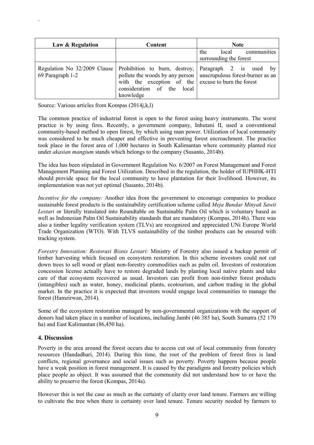| Law & Regulation | Content                                                                                                                                                                             | <b>Note</b>                                                        |
|------------------|-------------------------------------------------------------------------------------------------------------------------------------------------------------------------------------|--------------------------------------------------------------------|
|                  |                                                                                                                                                                                     | communities<br>the<br>local<br>surrounding the forest              |
| 69 Paragraph 1-2 | Regulation No 32/2009 Clause Prohibition to burn, destroy, Paragraph 2 is used by<br>with the exception of the excuse to burn the forest<br>consideration of the local<br>knowledge | pollute the woods by any person   unscrupulous forest-burner as an |

Source: Various articles from Kompas (2014j,k,l)

`

The common practice of industrial forest is open to the forest using heavy instruments. The worst practice is by using fires. Recently, a government company, Inhutani II, used a conventional community-based method to open forest, by which using man power. Utilization of local community was considered to be much cheaper and effective in preventing forest encroachment. The practice took place in the forest area of 1,000 hectares in South Kalimantan where community planted rice under *akasian mangium* stands which belongs to the company (Susanto, 2014b).

The idea has been stipulated in Government Regulation No. 6/2007 on Forest Management and Forest Management Planning and Forest Utilization. Described in the regulation, the holder of IUPHHK-HTI should provide space for the local community to have plantation for their livelihood. However, its implementation was not yet optimal (Susanto, 2014b).

*Incentive for the company:* Another idea from the government to encourage companies to produce sustainable forest products is the sustainability certification scheme called *Meja Bundar Minyak Sawit Lestari* or literally translated into Roundtable on Sustainable Palm Oil which is voluntary based as well as Indonesian Palm Oil Sustainability standards that are mandatory (Kompas, 2014h). There was also a timber legality verification system (TLVs) are recognized and appreciated UNi Europe World Trade Organization (WTO). With TLVS sustainability of the timber products can be ensured with tracking system.

*Forestry Innovation: Restorasi Bisnis Lestari:* Ministry of Forestry also issued a backup permit of timber harvesting which focused on ecosystem restoration. In this scheme investors could not cut down trees to sell wood or plant non-forestry commodities such as palm oil. Investors of restoration concession license actually have to restore degraded lands by planting local native plants and take care of that ecosystem recovered as usual. Investors can profit from non-timber forest products (intangibles) such as water, honey, medicinal plants, ecotourism, and carbon trading in the global market. In the practice it is expected that investors would engage local communities to manage the forest (Hamzirwan, 2014).

Some of the ecosystem restoration managed by non-governmental organizations with the support of donors had taken place in a number of locations, including Jambi (46 385 ha), South Sumatra (52 170 ha) and East Kalimantan (86,450 ha).

#### 4. Discussion

Poverty in the area around the forest occurs due to access cut out of local community from forestry resources (Handadhari, 2014). During this time, the root of the problem of forest fires is land conflicts, regional governance and social issues such as poverty. Poverty happens because people have a weak position in forest management. It is caused by the paradigms and forestry policies which place people as object. It was assumed that the community did not understand how to or have the ability to preserve the forest (Kompas, 2014a).

However this is not the case as much as the certainty of clarity over land tenure. Farmers are willing to cultivate the tree when there is certainty over land tenure. Tenure security needed by farmers to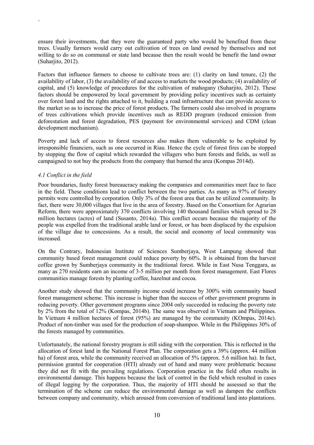ensure their investments, that they were the guaranteed party who would be benefited from these trees. Usually farmers would carry out cultivation of trees on land owned by themselves and not willing to do so on communal or state land because then the result would be benefit the land owner (Suharjito, 2012).

Factors that influence farmers to choose to cultivate trees are: (1) clarity on land tenure, (2) the availability of labor, (3) the availability of and access to markets the wood products; (4) availability of capital, and (5) knowledge of procedures for the cultivation of mahogany (Suharjito, 2012). These factors should be empowered by local government by providing policy incentives such as certainty over forest land and the rights attached to it, building a road infrastructure that can provide access to the market so as to increase the price of forest products. The farmers could also involved in programs of trees cultivations which provide incentives such as REDD program (reduced emission from deforestation and forest degradation, PES (payment for environmental services) and CDM (clean development mechanism).

Poverty and lack of access to forest resources also makes them vulnerable to be exploited by irresponsible financiers, such as one occurred in Riau. Hence the cycle of forest fires can be stopped by stopping the flow of capital which rewarded the villagers who burn forests and fields, as well as campaigned to not buy the products from the company that burned the area (Kompas 2014d).

#### *4.1 Conflict in the field*

`

Poor boundaries, faulty forest bureaucracy making the companies and communities meet face to face in the field. These conditions lead to conflict between the two parties. As many as 97% of forestry permits were controlled by corporation. Only 3% of the forest area that can be utilized community. In fact, there were 30,000 villages that live in the area of forestry. Based on the Consortium for Agrarian Reform, there were approximately 370 conflicts involving 140 thousand families which spread to 28 million hectares (acres) of land (Susanto, 2014a). This conflict occurs because the majority of the people was expelled from the traditional arable land or forest, or has been displaced by the expulsion of the village due to concessions. As a result, the social and economy of local community was increased.

On the Contrary, Indonesian Institute of Sciences Sumberjaya, West Lampung showed that community based forest management could reduce poverty by 60%. It is obtained from the harvest coffee grown by Sumberjaya community in the traditional forest. While in East Nusa Tenggara, as many as 270 residents earn an income of 3-5 million per month from forest management. East Flores communities manage forests by planting coffee, hazelnut and cocoa.

Another study showed that the community income could increase by 300% with community based forest management scheme. This increase is higher than the success of other government programs in reducing poverty. Other government programs since 2004 only succeeded in reducing the poverty rate by 2% from the total of 12% (Kompas, 2014b). The same was observed in Vietnam and Philippines. In Vietnam 4 million hectares of forest (95%) are managed by the community (KOmpas, 2014e). Product of non-timber was used for the production of soap-shampoo. While in the Philippines 30% of the forests managed by communities.

Unfortunately, the national forestry program is still siding with the corporation. This is reflected in the allocation of forest land in the National Forest Plan. The corporation gets a 39% (approx. 44 million ha) of forest area, while the community received an allocation of 5% (approx. 5.6 million ha). In fact, permission granted for cooperation (HTI) already out of hand and many were problematic because they did not fit with the prevailing regulations. Corporation practice in the field often results in environmental damage. This happens because the lack of control in the field which resulted in cases of illegal logging by the corporation. Thus, the majority of HTI should be assessed so that the termination of the scheme can reduce the environmental damage as well as dampen the conflicts between company and community, which aroused from conversion of traditional land into plantations.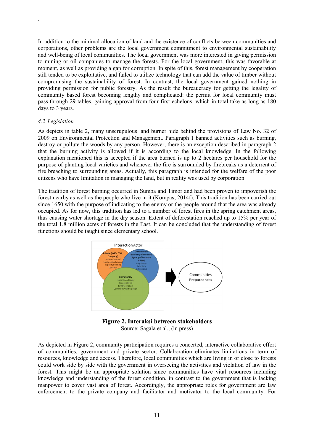In addition to the minimal allocation of land and the existence of conflicts between communities and corporations, other problems are the local government commitment to environmental sustainability and well-being of local communities. The local government was more interested in giving permission to mining or oil companies to manage the forests. For the local government, this was favorable at moment, as well as providing a gap for corruption. In spite of this, forest management by cooperation still tended to be exploitative, and failed to utilize technology that can add the value of timber without compromising the sustainability of forest. In contrast, the local government gained nothing in providing permission for public forestry. As the result the bureaucracy for getting the legality of community based forest becoming lengthy and complicated: the permit for local community must pass through 29 tables, gaining approval from four first echelons, which in total take as long as 180 days to 3 years.

#### *4.2 Legislation*

`

As depicts in table 2, many unscrupulous land burner hide behind the provisions of Law No. 32 of 2009 on Environmental Protection and Management. Paragraph 1 banned activities such as burning, destroy or pollute the woods by any person. However, there is an exception described in paragraph 2 that the burning activity is allowed if it is according to the local knowledge. In the following explanation mentioned this is accepted if the area burned is up to 2 hectares per household for the purpose of planting local varieties and whenever the fire is surrounded by firebreaks as a deterrent of fire breaching to surrounding areas. Actually, this paragraph is intended for the welfare of the poor citizens who have limitation in managing the land, but in reality was used by corporation.

The tradition of forest burning occurred in Sumba and Timor and had been proven to impoverish the forest nearby as well as the people who live in it (Kompas, 2014f). This tradition has been carried out since 1650 with the purpose of indicating to the enemy or the people around that the area was already occupied. As for now, this tradition has led to a number of forest fires in the spring catchment areas, thus causing water shortage in the dry season. Extent of deforestation reached up to 15% per year of the total 1.8 million acres of forests in the East. It can be concluded that the understanding of forest functions should be taught since elementary school.



Figure 2. Interaksi between stakeholders Source: Sagala et al., (in press)

As depicted in Figure 2, community participation requires a concerted, interactive collaborative effort of communities, government and private sector. Collaboration eliminates limitations in term of resources, knowledge and access. Therefore, local communities which are living in or close to forests could work side by side with the government in overseeing the activities and violation of law in the forest. This might be an appropriate solution since communities have vital resources including knowledge and understanding of the forest condition, in contrast to the government that is lacking manpower to cover vast area of forest. Accordingly, the appropriate roles for government are law enforcement to the private company and facilitator and motivator to the local community. For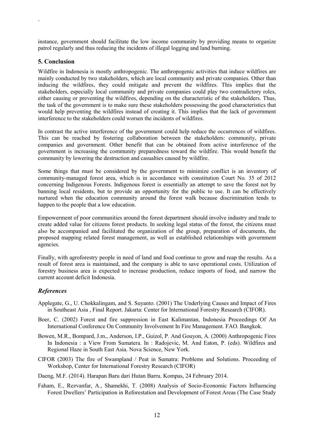instance, government should facilitate the low income community by providing means to organize patrol regularly and thus reducing the incidents of illegal logging and land burning.

#### 5. Conclusion

`

Wildfire in Indonesia is mostly anthropogenic. The anthropogenic activities that induce wildfires are mainly conducted by two stakeholders, which are local community and private companies. Other than inducing the wildfires, they could mitigate and prevent the wildfires. This implies that the stakeholders, especially local community and private companies could play two contradictory roles, either causing or preventing the wildfires, depending on the characteristic of the stakeholders. Thus, the task of the government is to make sure these stakeholders possessing the good characteristics that would help preventing the wildfires instead of creating it. This implies that the lack of government interference to the stakeholders could worsen the incidents of wildfires.

In contrast the active interference of the government could help reduce the occurrences of wildfires. This can be reached by fostering collaboration between the stakeholders: community, private companies and government. Other benefit that can be obtained from active interference of the government is increasing the community preparedness toward the wildfire. This would benefit the community by lowering the destruction and casualties caused by wildfire.

Some things that must be considered by the government to minimize conflict is an inventory of community-managed forest area, which is in accordance with constitution Court No. 35 of 2012 concerning Indigenous Forests. Indigenous forest is essentially an attempt to save the forest not by banning local residents, but to provide an opportunity for the public to use. It can be effectively nurtured when the education community around the forest walk because discrimination tends to happen to the people that a low education.

Empowerment of poor communities around the forest department should involve industry and trade to create added value for citizens forest products. In seeking legal status of the forest, the citizens must also be accompanied and facilitated the organization of the group, preparation of documents, the proposed mapping related forest management, as well as established relationships with government agencies.

Finally, with agroforestry people in need of land and food continue to grow and reap the results. As a result of forest area is maintained, and the company is able to save operational costs. Utilization of forestry business area is expected to increase production, reduce imports of food, and narrow the current account deficit Indonesia.

#### *References*

- Applegate, G., U. Chokkalingam, and S. Suyanto. (2001) The Underlying Causes and Impact of Fires in Southeast Asia , Final Report. Jakarta: Center for International Forestry Research (CIFOR).
- Boer, C. (2002) Forest and fire suppression in East Kalimantan, Indonesia Proceedings Of An International Conference On Community Involvement In Fire Management. FAO. Bangkok.
- Bowen, M.R., Bompard, J.m., Anderson, I.P., Guizol, P. And Gouyon, A. (2000) Anthropogenic Fires In Indonesia : a View From Sumatera. In : Radojevic, M. And Eaton, P. (eds). Wildfires and Regional Haze in South East Asia. Nova Science, New York.
- CIFOR (2003) The fire of Swampland / Peat in Sumatra: Problems and Solutions. Proceeding of Workshop, Center for International Forestry Research (CIFOR)
- Daeng, M.F. (2014). Harapan Baru dari Hutan Barru. Kompas, 24 February 2014.
- Faham, E., Rezvanfar, A., Shamekhi, T. (2008) Analysis of Socio-Economic Factors Influencing Forest Dwellers' Participation in Reforestation and Development of Forest Areas (The Case Study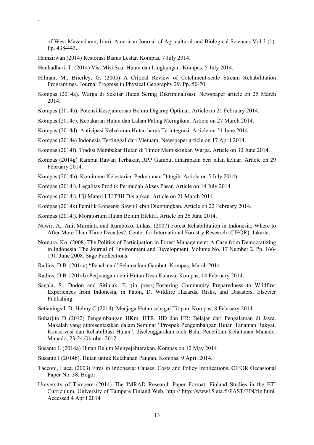of West Mazandaran, Iran). American Journal of Agricultural and Biological Sciences Vol 3 (1): Pp. 438-443.

Hamzirwan (2014) Restorasi Bisnis Lestar. Kompas, 7 July 2014.

`

Hanhadhari, T. (2014) Visi Misi Soal Hutan dan Lingkungan. Kompas, 5 July 2014.

- Hilman, M., Brierley, G. (2005) A Critical Review of Catchment-scale Stream Rehabilitation Programmes. Journal Progress in Physical Geography 29. Pp. 50-70.
- Kompas (2014a). Warga di Sekitar Hutan Sering Dikriminalisasi. Newspaper article on 25 March 2014.
- Kompas (2014b). Potensi Kesejahteraan Belum Digarap Optimal. Article on 21 February 2014.
- Kompas (2014c). Kebakaran Hutan dan Lahan Paling Merugikan. Article on 27 March 2014.
- Kompas (2014d). Antisipasi Kebakaran Hutan harus Terintegrasi. Article on 21 June 2014.
- Kompas (2014e) Indonesia Tertinggal dari Vietnam, Newspaper article on 17 April 2014.
- Kompas (2014f). Tradisi Membakar Hutan di Timor Memiskinkan Warga. Article on 30 June 2014.
- Kompas (2014g) Rambut Rawan Terbakar, RPP Gambut diharapkan beri jalan keluar. Article on 29 February 2014.
- Kompas (2014h). Komitmen Kelestarian Perkebunan Ditagih. Article on 5 July 2014).
- Kompas (2014i). Legalitas Produk Permudah Akses Pasar. Article on 14 July 2014.
- Kompas (2014j). Uji Materi UU P3H Disiapkan. Article on 21 March 2014.
- Kompas (2014k) Pemilik Konsensi Sawit Lebih Diuntungkan. Article on 22 February 2014.
- Kompas (2014l). Moratorium Hutan Belum Efektif. Article on 26 June 2014.
- Nawir, A., Ani, Murniati, and Rumboko, Lukas. (2007) Forest Rehabilitation in Indonesia; Where to After More Than Three Decades?. Center for International Forestry Research (CIFOR). Jakarta.
- Nomura, Ko. (2008) The Politics of Participation in Forest Management: A Case from Democratizing in Indonesia. The Journal of Environment and Development. Volume No. 17 Number 2. Pp. 166- 191. June 2008. Sage Publications.
- Radius, D.B. (2014a) "Penabatan" Selamatkan Gambut. Kompas, March 2014.
- Radius, D.B. (2014b) Perjuangan demi Hutan Desa Kalawa. Kompas, 14 February 2014.
- Sagala, S., Dodon and Sitinjak, E. (in press) Fostering Community Preparedness to Wildfire: Experiences from Indonesia, in Paton, D. Wildfire Hazards, Risks, and Disasters, Elsevier Publishing.
- Setianingsih D, Helmy C (2014). Menjaga Hutan sebagai Titipan. Kompas, 8 February 2014.
- Suharjito D (2012) Pengembangan HKm, HTR, HD dan HR: Belajar dari Pengalaman di Jawa. Makalah yang dipresentasikan dalam Seminar "Prospek Pengembangan Hutan Tanaman Rakyat, Konservasi dan Rehabilitasi Hutan", diselenggarakan oleh Balai Penelitian Kehutanan Manado. Manado, 23-24 Oktober 2012.
- Susanto I. (2014a) Hutan Belum Menyejahterakan. Kompas on 12 May 2014
- Susanto I (2014b). Hutan untuk Ketahanan Pangan. Kompas, 9 April 2014.
- Tacconi, Luca. (2003) Fires in Indonesia: Causes, Costs and Policy Implications. CIFOR Occasional Paper No. 38. Bogor.
- University of Tampere (2014) The IMRAD Research Paper Format. Finland Studies in the ETI Curriculum, University of Tampere Finland Web. http:// [http://www15.uta.fi/FAST/FIN/fin.html.](http://www15.uta.fi/FAST/FIN/fin.html. Accessed 4 April 2014)  [Accessed 4](http://www15.uta.fi/FAST/FIN/fin.html. Accessed 4 April 2014) April 2014